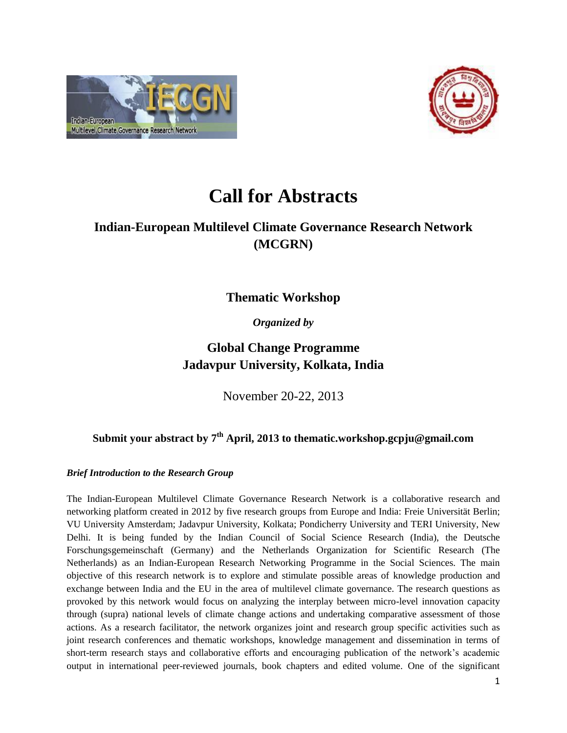



# **Call for Abstracts**

# **Indian-European Multilevel Climate Governance Research Network (MCGRN)**

**Thematic Workshop** 

*Organized by*

# **Global Change Programme Jadavpur University, Kolkata, India**

November 20-22, 2013

## **Submit your abstract by 7 th April, 2013 to thematic.workshop.gcpju@gmail.com**

## *Brief Introduction to the Research Group*

The Indian-European Multilevel Climate Governance Research Network is a collaborative research and networking platform created in 2012 by five research groups from Europe and India: Freie Universität Berlin; VU University Amsterdam; Jadavpur University, Kolkata; Pondicherry University and TERI University, New Delhi. It is being funded by the Indian Council of Social Science Research (India), the Deutsche Forschungsgemeinschaft (Germany) and the Netherlands Organization for Scientific Research (The Netherlands) as an Indian-European Research Networking Programme in the Social Sciences. The main objective of this research network is to explore and stimulate possible areas of knowledge production and exchange between India and the EU in the area of multilevel climate governance. The research questions as provoked by this network would focus on analyzing the interplay between micro-level innovation capacity through (supra) national levels of climate change actions and undertaking comparative assessment of those actions. As a research facilitator, the network organizes joint and research group specific activities such as joint research conferences and thematic workshops, knowledge management and dissemination in terms of short-term research stays and collaborative efforts and encouraging publication of the network's academic output in international peer-reviewed journals, book chapters and edited volume. One of the significant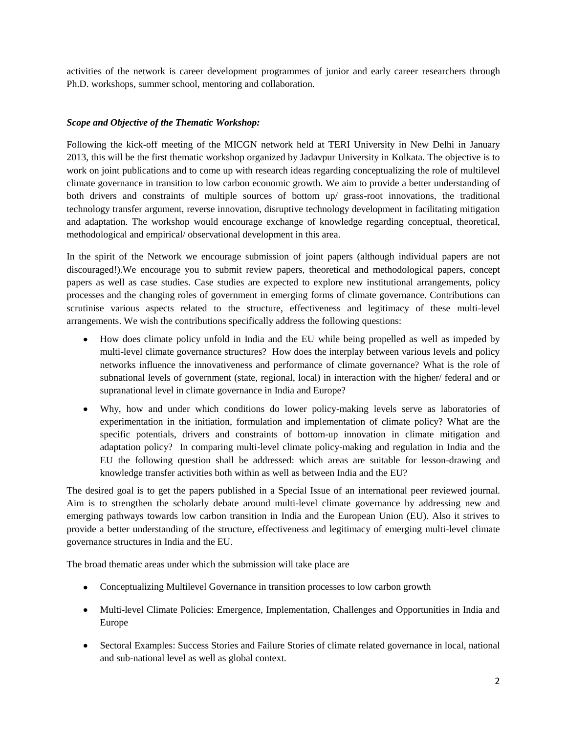activities of the network is career development programmes of junior and early career researchers through Ph.D. workshops, summer school, mentoring and collaboration.

### *Scope and Objective of the Thematic Workshop:*

Following the kick-off meeting of the MICGN network held at TERI University in New Delhi in January 2013, this will be the first thematic workshop organized by Jadavpur University in Kolkata. The objective is to work on joint publications and to come up with research ideas regarding conceptualizing the role of multilevel climate governance in transition to low carbon economic growth. We aim to provide a better understanding of both drivers and constraints of multiple sources of bottom up/ grass-root innovations, the traditional technology transfer argument, reverse innovation, disruptive technology development in facilitating mitigation and adaptation. The workshop would encourage exchange of knowledge regarding conceptual, theoretical, methodological and empirical/ observational development in this area.

In the spirit of the Network we encourage submission of joint papers (although individual papers are not discouraged!).We encourage you to submit review papers, theoretical and methodological papers, concept papers as well as case studies. Case studies are expected to explore new institutional arrangements, policy processes and the changing roles of government in emerging forms of climate governance. Contributions can scrutinise various aspects related to the structure, effectiveness and legitimacy of these multi-level arrangements. We wish the contributions specifically address the following questions:

- How does climate policy unfold in India and the EU while being propelled as well as impeded by multi-level climate governance structures? How does the interplay between various levels and policy networks influence the innovativeness and performance of climate governance? What is the role of subnational levels of government (state, regional, local) in interaction with the higher/ federal and or supranational level in climate governance in India and Europe?
- Why, how and under which conditions do lower policy-making levels serve as laboratories of experimentation in the initiation, formulation and implementation of climate policy? What are the specific potentials, drivers and constraints of bottom-up innovation in climate mitigation and adaptation policy? In comparing multi-level climate policy-making and regulation in India and the EU the following question shall be addressed: which areas are suitable for lesson-drawing and knowledge transfer activities both within as well as between India and the EU?

The desired goal is to get the papers published in a Special Issue of an international peer reviewed journal. Aim is to strengthen the scholarly debate around multi-level climate governance by addressing new and emerging pathways towards low carbon transition in India and the European Union (EU). Also it strives to provide a better understanding of the structure, effectiveness and legitimacy of emerging multi-level climate governance structures in India and the EU.

The broad thematic areas under which the submission will take place are

- Conceptualizing Multilevel Governance in transition processes to low carbon growth
- Multi-level Climate Policies: Emergence, Implementation, Challenges and Opportunities in India and Europe
- Sectoral Examples: Success Stories and Failure Stories of climate related governance in local, national and sub-national level as well as global context.